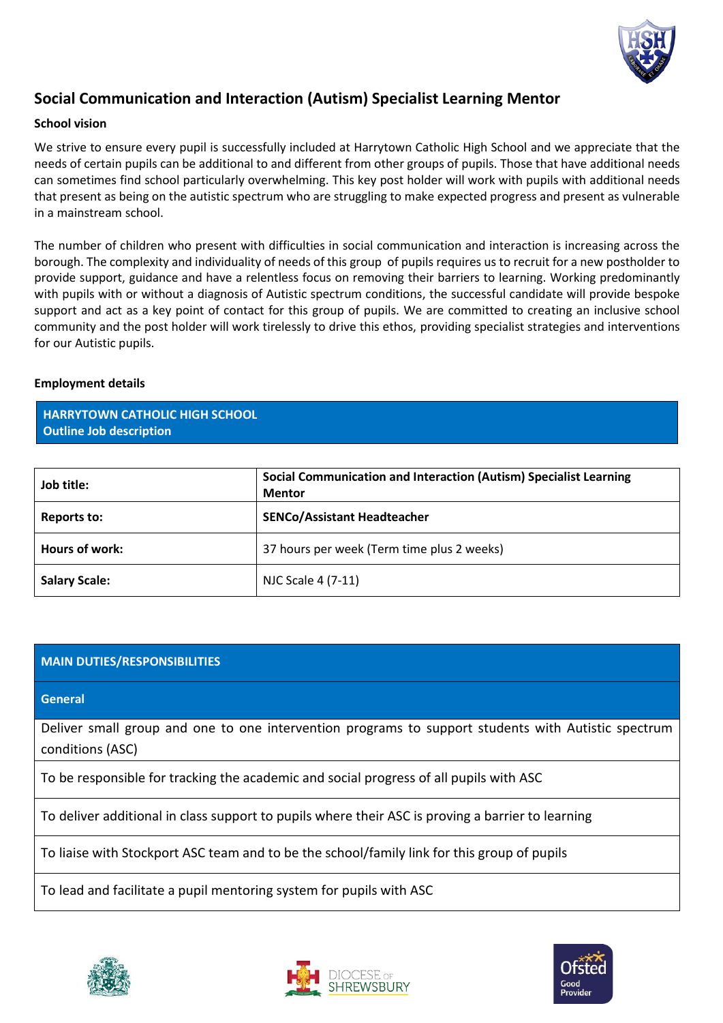

# **Social Communication and Interaction (Autism) Specialist Learning Mentor**

### **School vision**

We strive to ensure every pupil is successfully included at Harrytown Catholic High School and we appreciate that the needs of certain pupils can be additional to and different from other groups of pupils. Those that have additional needs can sometimes find school particularly overwhelming. This key post holder will work with pupils with additional needs that present as being on the autistic spectrum who are struggling to make expected progress and present as vulnerable in a mainstream school.

The number of children who present with difficulties in social communication and interaction is increasing across the borough. The complexity and individuality of needs of this group of pupils requires us to recruit for a new postholder to provide support, guidance and have a relentless focus on removing their barriers to learning. Working predominantly with pupils with or without a diagnosis of Autistic spectrum conditions, the successful candidate will provide bespoke support and act as a key point of contact for this group of pupils. We are committed to creating an inclusive school community and the post holder will work tirelessly to drive this ethos, providing specialist strategies and interventions for our Autistic pupils.

#### **Employment details**

**HARRYTOWN CATHOLIC HIGH SCHOOL Outline Job description** 

| Job title:           | Social Communication and Interaction (Autism) Specialist Learning<br><b>Mentor</b> |
|----------------------|------------------------------------------------------------------------------------|
| Reports to:          | <b>SENCo/Assistant Headteacher</b>                                                 |
| Hours of work:       | 37 hours per week (Term time plus 2 weeks)                                         |
| <b>Salary Scale:</b> | NJC Scale 4 (7-11)                                                                 |

## **MAIN DUTIES/RESPONSIBILITIES**

**General**

Deliver small group and one to one intervention programs to support students with Autistic spectrum conditions (ASC)

To be responsible for tracking the academic and social progress of all pupils with ASC

To deliver additional in class support to pupils where their ASC is proving a barrier to learning

To liaise with Stockport ASC team and to be the school/family link for this group of pupils

To lead and facilitate a pupil mentoring system for pupils with ASC





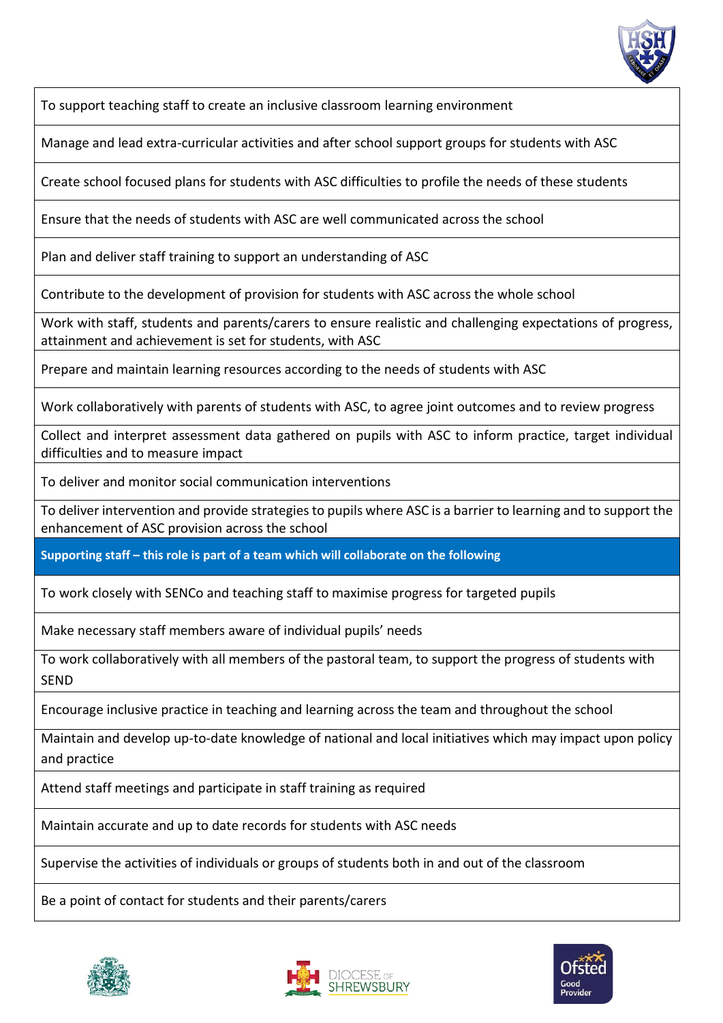

To support teaching staff to create an inclusive classroom learning environment

Manage and lead extra-curricular activities and after school support groups for students with ASC

Create school focused plans for students with ASC difficulties to profile the needs of these students

Ensure that the needs of students with ASC are well communicated across the school

Plan and deliver staff training to support an understanding of ASC

Contribute to the development of provision for students with ASC across the whole school

Work with staff, students and parents/carers to ensure realistic and challenging expectations of progress, attainment and achievement is set for students, with ASC

Prepare and maintain learning resources according to the needs of students with ASC

Work collaboratively with parents of students with ASC, to agree joint outcomes and to review progress

Collect and interpret assessment data gathered on pupils with ASC to inform practice, target individual difficulties and to measure impact

To deliver and monitor social communication interventions

To deliver intervention and provide strategies to pupils where ASC is a barrier to learning and to support the enhancement of ASC provision across the school

**Supporting staff – this role is part of a team which will collaborate on the following**

To work closely with SENCo and teaching staff to maximise progress for targeted pupils

Make necessary staff members aware of individual pupils' needs

To work collaboratively with all members of the pastoral team, to support the progress of students with SEND

Encourage inclusive practice in teaching and learning across the team and throughout the school

Maintain and develop up-to-date knowledge of national and local initiatives which may impact upon policy and practice

Attend staff meetings and participate in staff training as required

Maintain accurate and up to date records for students with ASC needs

Supervise the activities of individuals or groups of students both in and out of the classroom

Be a point of contact for students and their parents/carers





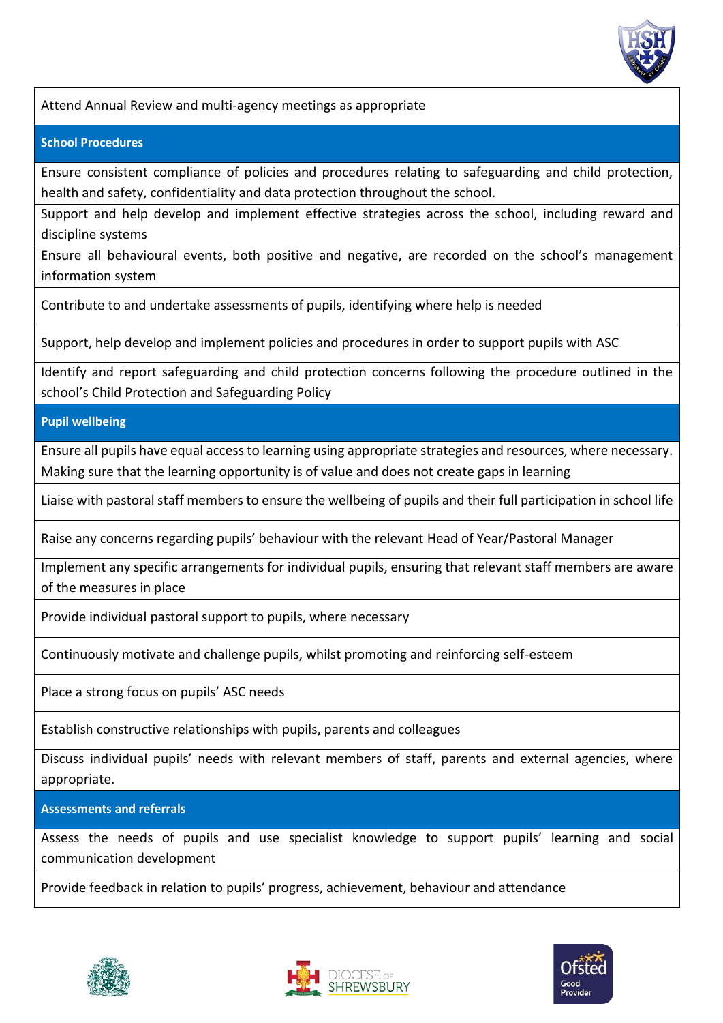

Attend Annual Review and multi-agency meetings as appropriate

#### **School Procedures**

Ensure consistent compliance of policies and procedures relating to safeguarding and child protection, health and safety, confidentiality and data protection throughout the school.

Support and help develop and implement effective strategies across the school, including reward and discipline systems

Ensure all behavioural events, both positive and negative, are recorded on the school's management information system

Contribute to and undertake assessments of pupils, identifying where help is needed

Support, help develop and implement policies and procedures in order to support pupils with ASC

Identify and report safeguarding and child protection concerns following the procedure outlined in the school's Child Protection and Safeguarding Policy

**Pupil wellbeing**

Ensure all pupils have equal access to learning using appropriate strategies and resources, where necessary. Making sure that the learning opportunity is of value and does not create gaps in learning

Liaise with pastoral staff members to ensure the wellbeing of pupils and their full participation in school life

Raise any concerns regarding pupils' behaviour with the relevant Head of Year/Pastoral Manager

Implement any specific arrangements for individual pupils, ensuring that relevant staff members are aware of the measures in place

Provide individual pastoral support to pupils, where necessary

Continuously motivate and challenge pupils, whilst promoting and reinforcing self-esteem

Place a strong focus on pupils' ASC needs

Establish constructive relationships with pupils, parents and colleagues

Discuss individual pupils' needs with relevant members of staff, parents and external agencies, where appropriate.

**Assessments and referrals**

Assess the needs of pupils and use specialist knowledge to support pupils' learning and social communication development

Provide feedback in relation to pupils' progress, achievement, behaviour and attendance